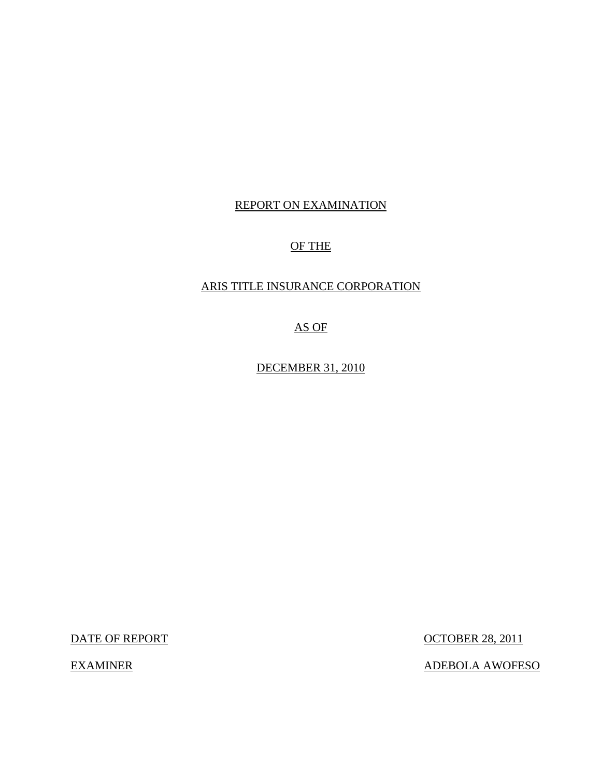## REPORT ON EXAMINATION

## OF THE

## ARIS TITLE INSURANCE CORPORATION

AS OF

DECEMBER 31, 2010

DATE OF REPORT OCTOBER 28, 2011

EXAMINER ADEBOLA AWOFESO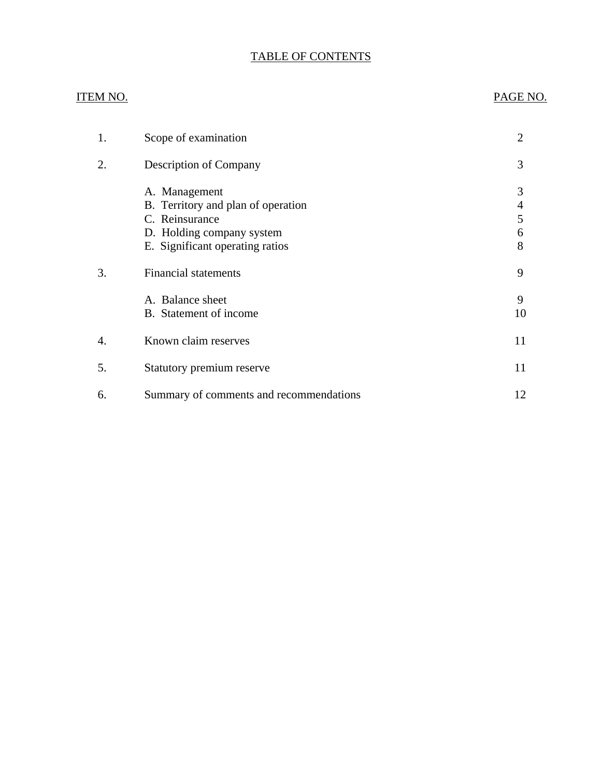## TABLE OF CONTENTS

## ITEM NO. PAGE NO.

| 1. | Scope of examination                                                                                                                  | 2                     |
|----|---------------------------------------------------------------------------------------------------------------------------------------|-----------------------|
| 2. | <b>Description of Company</b>                                                                                                         | 3                     |
|    | A. Management<br>B. Territory and plan of operation<br>C. Reinsurance<br>D. Holding company system<br>E. Significant operating ratios | 3<br>4<br>5<br>6<br>8 |
| 3. | <b>Financial statements</b>                                                                                                           | 9                     |
|    | A. Balance sheet<br>B. Statement of income                                                                                            | 9<br>10               |
| 4. | Known claim reserves                                                                                                                  | 11                    |
| 5. | Statutory premium reserve                                                                                                             | 11                    |
| 6. | Summary of comments and recommendations                                                                                               | 12                    |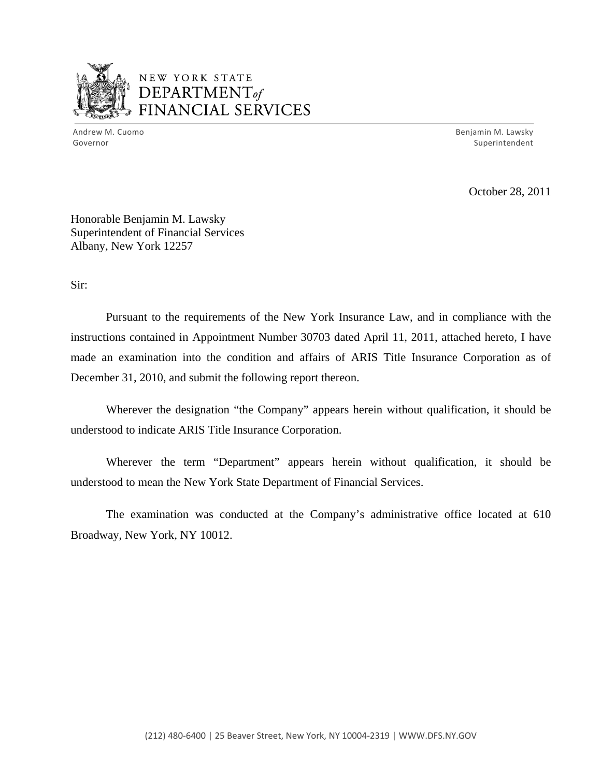

## NEW YORK STATE DEPARTMENTof *~,........,,* FINANCIAL SERVICES

Andrew M. Cuomo **Benjamin M. Lawsky** Governor Superintendent

October 28, 2011

Honorable Benjamin M. Lawsky Superintendent of Financial Services Albany, New York 12257

Sir:

Pursuant to the requirements of the New York Insurance Law, and in compliance with the instructions contained in Appointment Number 30703 dated April 11, 2011, attached hereto, I have made an examination into the condition and affairs of ARIS Title Insurance Corporation as of December 31, 2010, and submit the following report thereon.

Wherever the designation "the Company" appears herein without qualification, it should be understood to indicate ARIS Title Insurance Corporation.

Wherever the term "Department" appears herein without qualification, it should be understood to mean the New York State Department of Financial Services.

The examination was conducted at the Company's administrative office located at 610 Broadway, New York, NY 10012.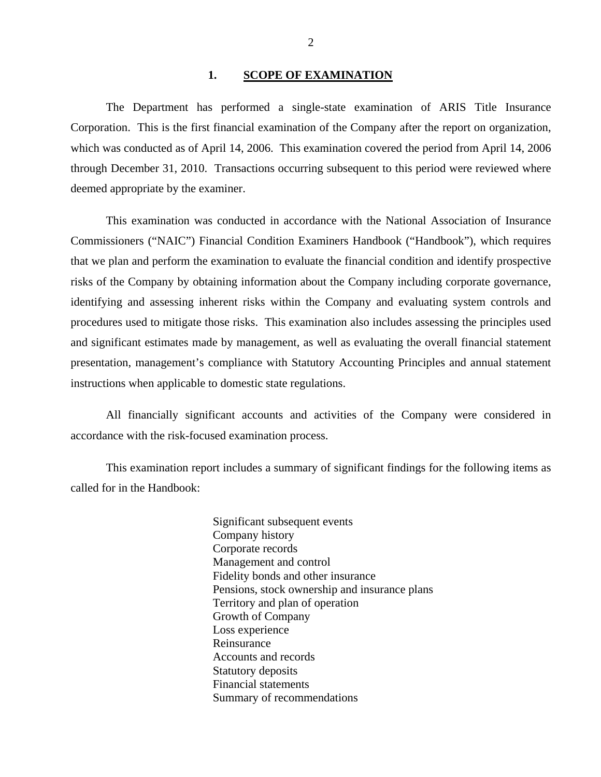#### 1. **SCOPE OF EXAMINATION**

<span id="page-3-0"></span>The Department has performed a single-state examination of ARIS Title Insurance Corporation. This is the first financial examination of the Company after the report on organization, which was conducted as of April 14, 2006. This examination covered the period from April 14, 2006 through December 31, 2010. Transactions occurring subsequent to this period were reviewed where deemed appropriate by the examiner.

This examination was conducted in accordance with the National Association of Insurance Commissioners ("NAIC") Financial Condition Examiners Handbook ("Handbook"), which requires that we plan and perform the examination to evaluate the financial condition and identify prospective risks of the Company by obtaining information about the Company including corporate governance, identifying and assessing inherent risks within the Company and evaluating system controls and procedures used to mitigate those risks. This examination also includes assessing the principles used and significant estimates made by management, as well as evaluating the overall financial statement presentation, management's compliance with Statutory Accounting Principles and annual statement instructions when applicable to domestic state regulations.

All financially significant accounts and activities of the Company were considered in accordance with the risk-focused examination process.

This examination report includes a summary of significant findings for the following items as called for in the Handbook:

> Significant subsequent events Company history Corporate records Management and control Fidelity bonds and other insurance Pensions, stock ownership and insurance plans Territory and plan of operation Growth of Company Loss experience Reinsurance Accounts and records Statutory deposits Financial statements Summary of recommendations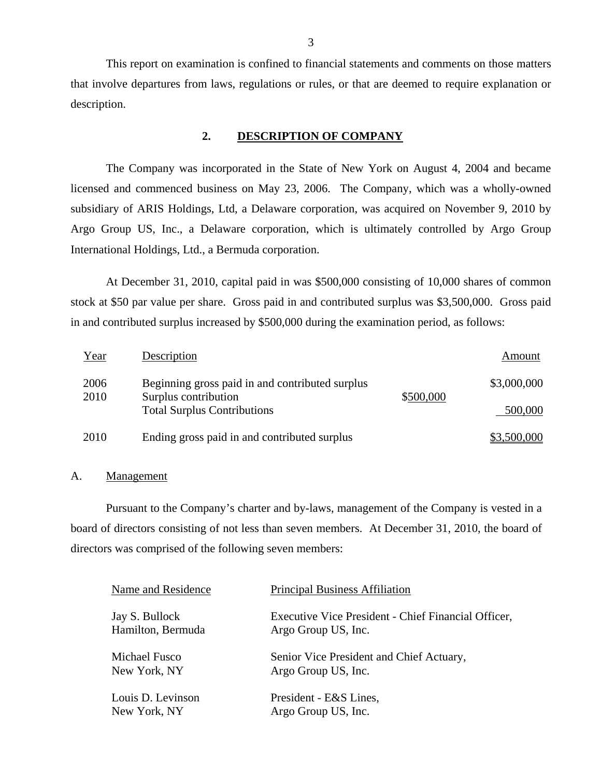This report on examination is confined to financial statements and comments on those matters that involve departures from laws, regulations or rules, or that are deemed to require explanation or description.

### **2. DESCRIPTION OF COMPANY**

The Company was incorporated in the State of New York on August 4, 2004 and became licensed and commenced business on May 23, 2006. The Company, which was a wholly-owned subsidiary of ARIS Holdings, Ltd, a Delaware corporation, was acquired on November 9, 2010 by Argo Group US, Inc., a Delaware corporation, which is ultimately controlled by Argo Group International Holdings, Ltd., a Bermuda corporation.

At December 31, 2010, capital paid in was \$500,000 consisting of 10,000 shares of common stock at \$50 par value per share. Gross paid in and contributed surplus was \$3,500,000. Gross paid in and contributed surplus increased by \$500,000 during the examination period, as follows:

| Year         | Description                                                             |           | Amount      |
|--------------|-------------------------------------------------------------------------|-----------|-------------|
| 2006<br>2010 | Beginning gross paid in and contributed surplus<br>Surplus contribution | \$500,000 | \$3,000,000 |
|              | <b>Total Surplus Contributions</b>                                      |           | 500,000     |
| 2010         | Ending gross paid in and contributed surplus                            |           | \$3,500,000 |

### A. Management

Pursuant to the Company's charter and by-laws, management of the Company is vested in a board of directors consisting of not less than seven members. At December 31, 2010, the board of directors was comprised of the following seven members:

| Name and Residence                  | <b>Principal Business Affiliation</b>                                      |
|-------------------------------------|----------------------------------------------------------------------------|
| Jay S. Bullock<br>Hamilton, Bermuda | Executive Vice President - Chief Financial Officer,<br>Argo Group US, Inc. |
| Michael Fusco                       | Senior Vice President and Chief Actuary,                                   |
| New York, NY                        | Argo Group US, Inc.                                                        |
| Louis D. Levinson                   | President - E&S Lines,                                                     |
| New York, NY                        | Argo Group US, Inc.                                                        |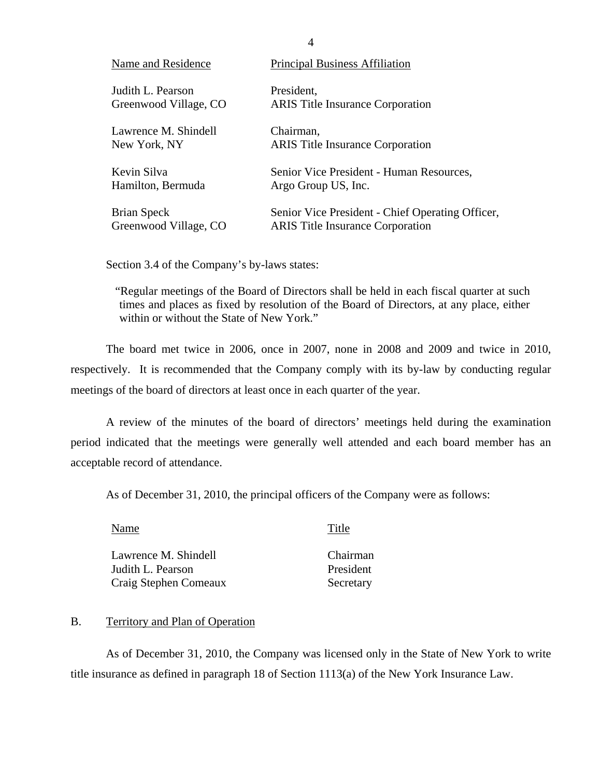| Name and Residence    | <b>Principal Business Affiliation</b>            |
|-----------------------|--------------------------------------------------|
| Judith L. Pearson     | President,                                       |
| Greenwood Village, CO | <b>ARIS</b> Title Insurance Corporation          |
| Lawrence M. Shindell  | Chairman,                                        |
| New York, NY          | <b>ARIS</b> Title Insurance Corporation          |
| Kevin Silva           | Senior Vice President - Human Resources,         |
| Hamilton, Bermuda     | Argo Group US, Inc.                              |
| Brian Speck           | Senior Vice President - Chief Operating Officer, |
| Greenwood Village, CO | <b>ARIS</b> Title Insurance Corporation          |

Section 3.4 of the Company's by-laws states:

"Regular meetings of the Board of Directors shall be held in each fiscal quarter at such times and places as fixed by resolution of the Board of Directors, at any place, either within or without the State of New York."

The board met twice in 2006, once in 2007, none in 2008 and 2009 and twice in 2010, respectively. It is recommended that the Company comply with its by-law by conducting regular meetings of the board of directors at least once in each quarter of the year.

A review of the minutes of the board of directors' meetings held during the examination period indicated that the meetings were generally well attended and each board member has an acceptable record of attendance.

As of December 31, 2010, the principal officers of the Company were as follows:

Name Title

Lawrence M. Shindell Judith L. Pearson Craig Stephen Comeaux Chairman President Secretary

## B. Territory and Plan of Operation

As of December 31, 2010, the Company was licensed only in the State of New York to write title insurance as defined in paragraph 18 of Section 1113(a) of the New York Insurance Law.

4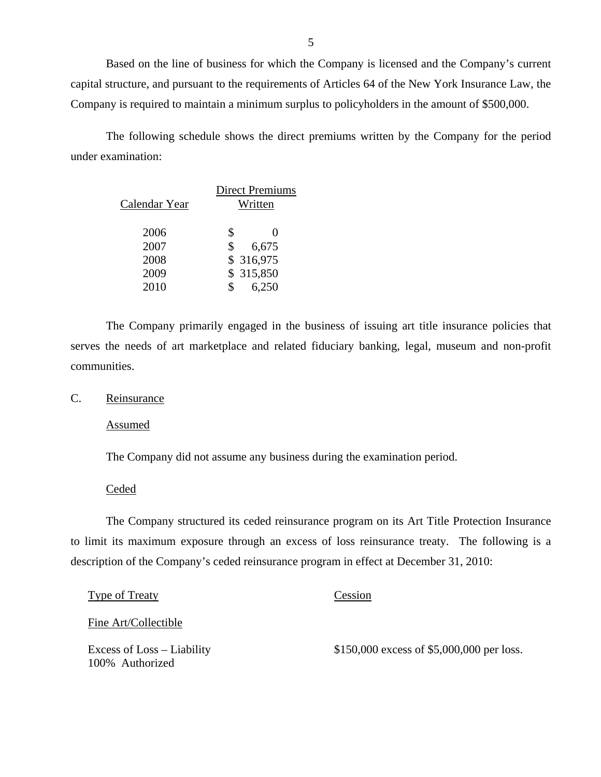Based on the line of business for which the Company is licensed and the Company's current capital structure, and pursuant to the requirements of Articles 64 of the New York Insurance Law, the Company is required to maintain a minimum surplus to policyholders in the amount of \$500,000.

The following schedule shows the direct premiums written by the Company for the period under examination:

|               | <b>Direct Premiums</b> |                   |
|---------------|------------------------|-------------------|
| Calendar Year | Written                |                   |
|               |                        |                   |
| 2006          | \$                     | $\mathbf{\Omega}$ |
| 2007          | \$                     | 6,675             |
| 2008          | \$ 316,975             |                   |
| 2009          | \$315,850              |                   |
| 2010          |                        | 6,250             |

The Company primarily engaged in the business of issuing art title insurance policies that serves the needs of art marketplace and related fiduciary banking, legal, museum and non-profit communities.

C. Reinsurance

Assumed

The Company did not assume any business during the examination period.

**Ceded** 

The Company structured its ceded reinsurance program on its Art Title Protection Insurance to limit its maximum exposure through an excess of loss reinsurance treaty. The following is a description of the Company's ceded reinsurance program in effect at December 31, 2010:

| <b>Type of Treaty</b>                         | Cession                                   |
|-----------------------------------------------|-------------------------------------------|
| Fine Art/Collectible                          |                                           |
| Excess of Loss – Liability<br>100% Authorized | \$150,000 excess of \$5,000,000 per loss. |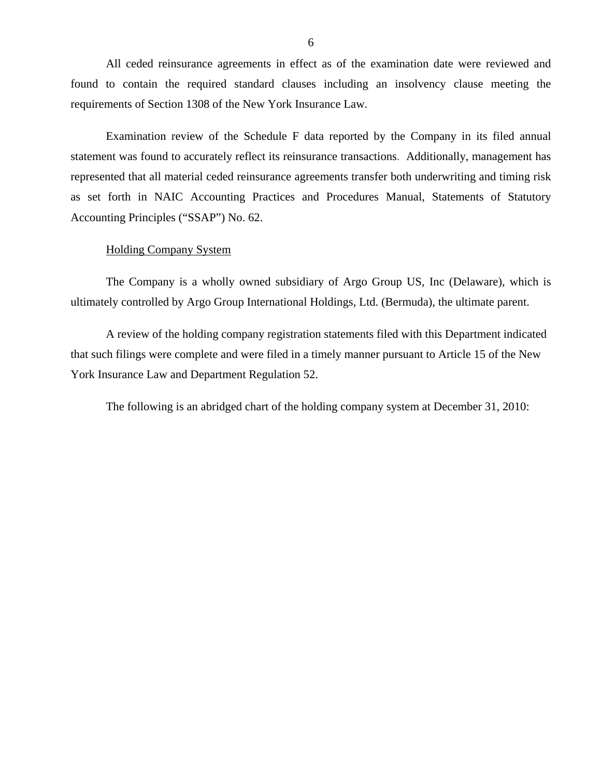<span id="page-7-0"></span>All ceded reinsurance agreements in effect as of the examination date were reviewed and found to contain the required standard clauses including an insolvency clause meeting the requirements of Section 1308 of the New York Insurance Law.

Examination review of the Schedule F data reported by the Company in its filed annual statement was found to accurately reflect its reinsurance transactions. Additionally, management has represented that all material ceded reinsurance agreements transfer both underwriting and timing risk as set forth in NAIC Accounting Practices and Procedures Manual, Statements of Statutory Accounting Principles ("SSAP") No. 62.

## Holding Company System

The Company is a wholly owned subsidiary of Argo Group US, Inc (Delaware), which is ultimately controlled by Argo Group International Holdings, Ltd. (Bermuda), the ultimate parent.

A review of the holding company registration statements filed with this Department indicated that such filings were complete and were filed in a timely manner pursuant to Article 15 of the New York Insurance Law and Department Regulation 52.

The following is an abridged chart of the holding company system at December 31, 2010: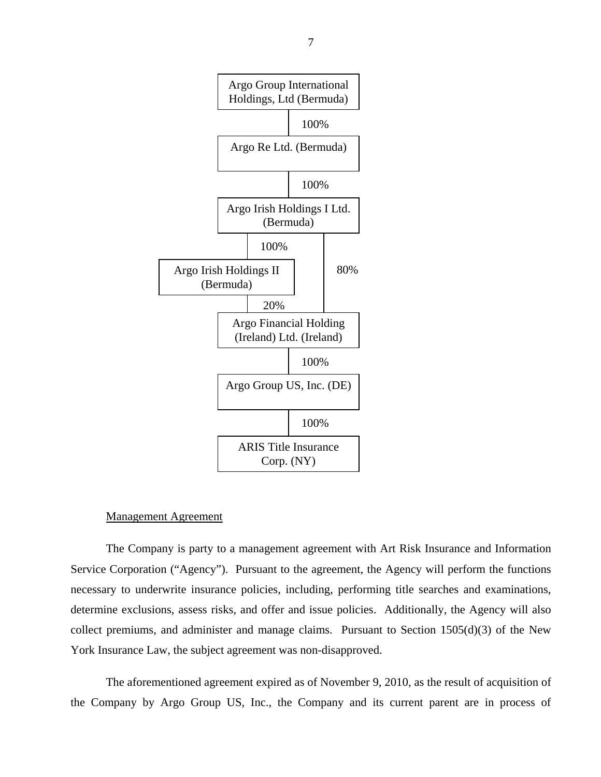

#### Management Agreement

The Company is party to a management agreement with Art Risk Insurance and Information Service Corporation ("Agency"). Pursuant to the agreement, the Agency will perform the functions necessary to underwrite insurance policies, including, performing title searches and examinations, determine exclusions, assess risks, and offer and issue policies. Additionally, the Agency will also collect premiums, and administer and manage claims. Pursuant to Section 1505(d)(3) of the New York Insurance Law, the subject agreement was non-disapproved.

The aforementioned agreement expired as of November 9, 2010, as the result of acquisition of the Company by Argo Group US, Inc., the Company and its current parent are in process of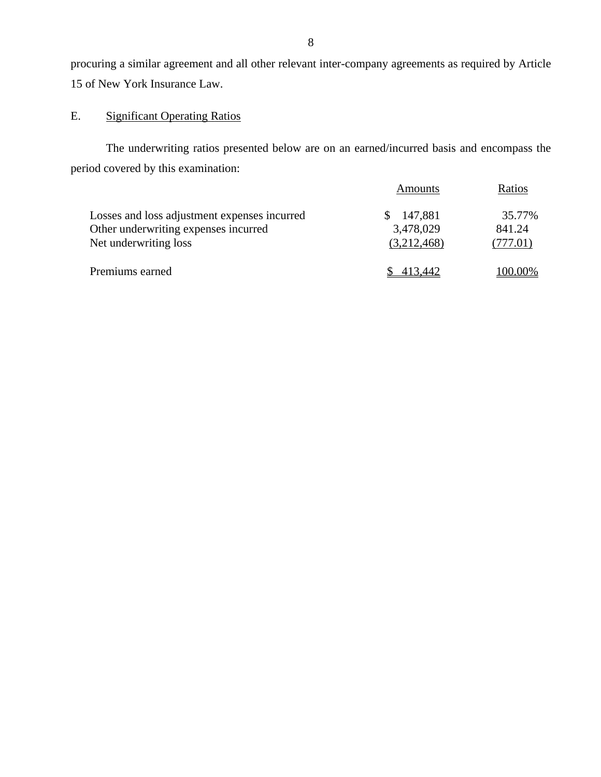procuring a similar agreement and all other relevant inter-company agreements as required by Article 15 of New York Insurance Law.

## E. Significant Operating Ratios

The underwriting ratios presented below are on an earned/incurred basis and encompass the period covered by this examination:

|                                                                                                               | <b>Amounts</b>                      | Ratios                       |
|---------------------------------------------------------------------------------------------------------------|-------------------------------------|------------------------------|
| Losses and loss adjustment expenses incurred<br>Other underwriting expenses incurred<br>Net underwriting loss | 147,881<br>3,478,029<br>(3,212,468) | 35.77%<br>841.24<br>(777.01) |
| Premiums earned                                                                                               | 413.442                             | 100.00%                      |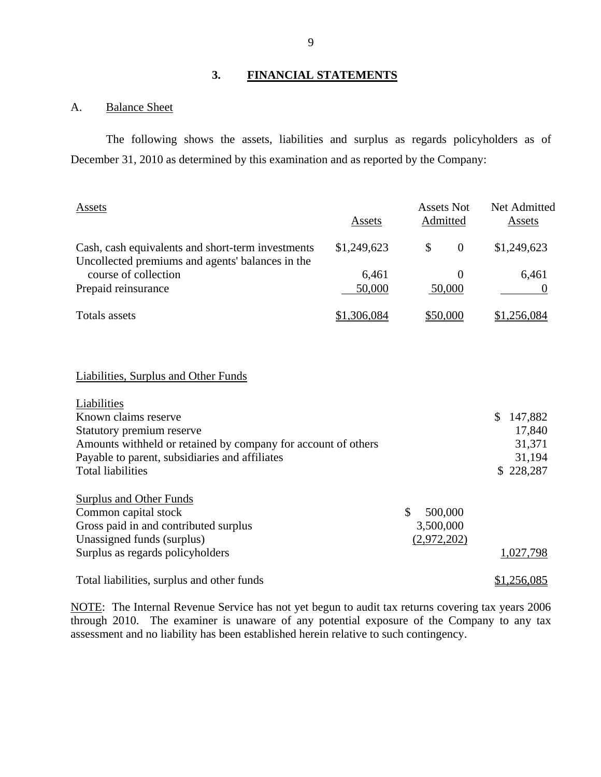## **3. FINANCIAL STATEMENTS**

## A. Balance Sheet

The following shows the assets, liabilities and surplus as regards policyholders as of December 31, 2010 as determined by this examination and as reported by the Company:

| Assets                                                                                                                                                                                                          | Assets          | <b>Assets Not</b><br>Admitted             | Net Admitted<br><b>Assets</b>                                       |
|-----------------------------------------------------------------------------------------------------------------------------------------------------------------------------------------------------------------|-----------------|-------------------------------------------|---------------------------------------------------------------------|
| Cash, cash equivalents and short-term investments<br>Uncollected premiums and agents' balances in the<br>course of collection                                                                                   | \$1,249,623     | \$<br>$\overline{0}$                      | \$1,249,623                                                         |
| Prepaid reinsurance                                                                                                                                                                                             | 6,461<br>50,000 | $\theta$<br>50,000                        | 6,461<br>$\Omega$                                                   |
| <b>Totals</b> assets                                                                                                                                                                                            | \$1,306,084     | \$50,000                                  | \$1,256,084                                                         |
|                                                                                                                                                                                                                 |                 |                                           |                                                                     |
| <b>Liabilities, Surplus and Other Funds</b>                                                                                                                                                                     |                 |                                           |                                                                     |
| Liabilities<br>Known claims reserve<br>Statutory premium reserve<br>Amounts withheld or retained by company for account of others<br>Payable to parent, subsidiaries and affiliates<br><b>Total liabilities</b> |                 |                                           | $\mathcal{S}$<br>147,882<br>17,840<br>31,371<br>31,194<br>\$228,287 |
| <b>Surplus and Other Funds</b><br>Common capital stock<br>Gross paid in and contributed surplus<br>Unassigned funds (surplus)                                                                                   |                 | \$<br>500,000<br>3,500,000<br>(2,972,202) |                                                                     |
| Surplus as regards policyholders                                                                                                                                                                                |                 |                                           | 1,027,798                                                           |
| Total liabilities, surplus and other funds                                                                                                                                                                      |                 |                                           | \$1,256,085                                                         |

NOTE: The Internal Revenue Service has not yet begun to audit tax returns covering tax years 2006 through 2010. The examiner is unaware of any potential exposure of the Company to any tax assessment and no liability has been established herein relative to such contingency.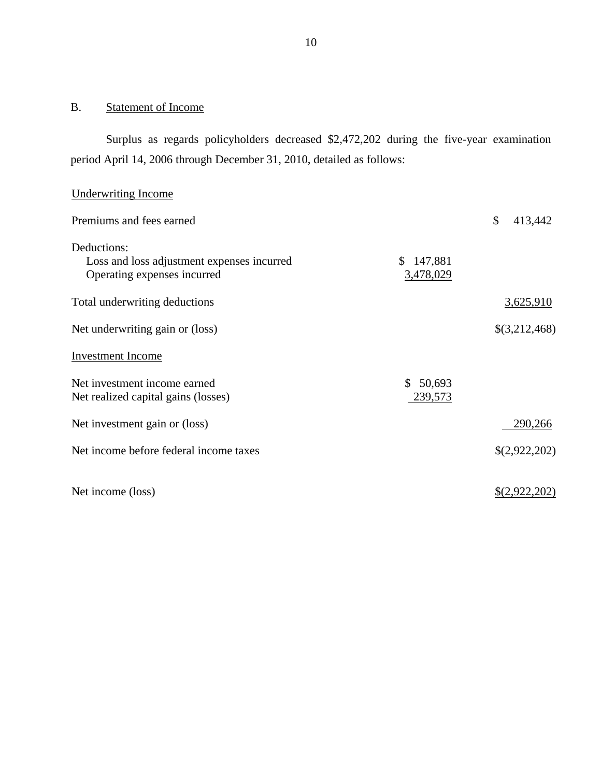## B. Statement of Income

Surplus as regards policyholders decreased \$2,472,202 during the five-year examination period April 14, 2006 through December 31, 2010, detailed as follows:

## Underwriting Income

| Premiums and fees earned                   |               | \$<br>413,442        |
|--------------------------------------------|---------------|----------------------|
| Deductions:                                |               |                      |
| Loss and loss adjustment expenses incurred | 147,881<br>S. |                      |
| Operating expenses incurred                | 3,478,029     |                      |
| Total underwriting deductions              |               | 3,625,910            |
|                                            |               |                      |
| Net underwriting gain or (loss)            |               | \$(3,212,468)        |
| <b>Investment</b> Income                   |               |                      |
| Net investment income earned               | \$50,693      |                      |
| Net realized capital gains (losses)        | 239,573       |                      |
| Net investment gain or (loss)              |               | 290,266              |
| Net income before federal income taxes     |               | \$(2,922,202)        |
|                                            |               |                      |
|                                            |               |                      |
| Net income (loss)                          |               | <u>\$(2,922,202)</u> |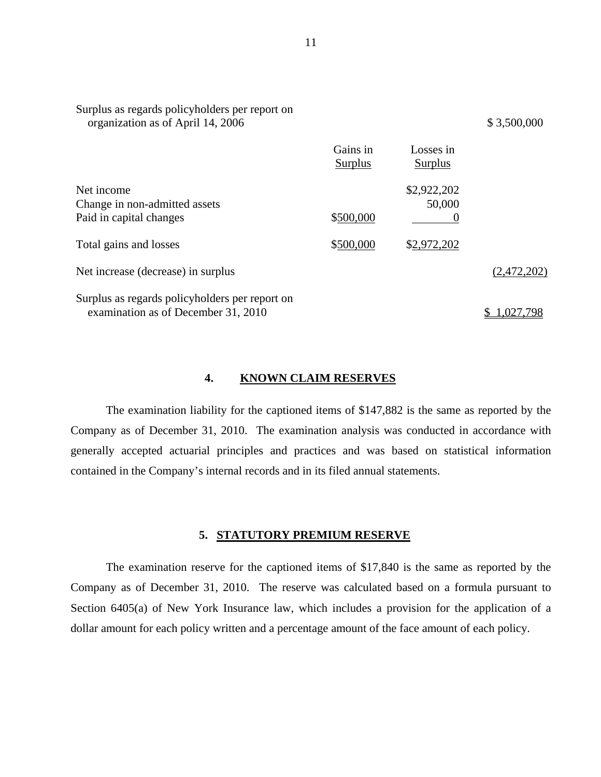| organization as of April 14, 2006                                                     |                     |                            | \$3,500,000 |
|---------------------------------------------------------------------------------------|---------------------|----------------------------|-------------|
|                                                                                       | Gains in<br>Surplus | Losses in<br>Surplus       |             |
| Net income<br>Change in non-admitted assets<br>Paid in capital changes                | \$500,000           | \$2,922,202<br>50,000<br>0 |             |
| Total gains and losses                                                                | \$500,000           | \$2,972,202                |             |
| Net increase (decrease) in surplus                                                    |                     |                            | (2,472,202) |
| Surplus as regards policyholders per report on<br>examination as of December 31, 2010 |                     |                            | .027.798    |

#### **4. KNOWN CLAIM RESERVES**

The examination liability for the captioned items of \$147,882 is the same as reported by the Company as of December 31, 2010. The examination analysis was conducted in accordance with generally accepted actuarial principles and practices and was based on statistical information contained in the Company's internal records and in its filed annual statements.

## **5. STATUTORY PREMIUM RESERVE**

The examination reserve for the captioned items of \$17,840 is the same as reported by the Company as of December 31, 2010. The reserve was calculated based on a formula pursuant to Section 6405(a) of New York Insurance law, which includes a provision for the application of a dollar amount for each policy written and a percentage amount of the face amount of each policy.

Surplus as regards policyholders per report on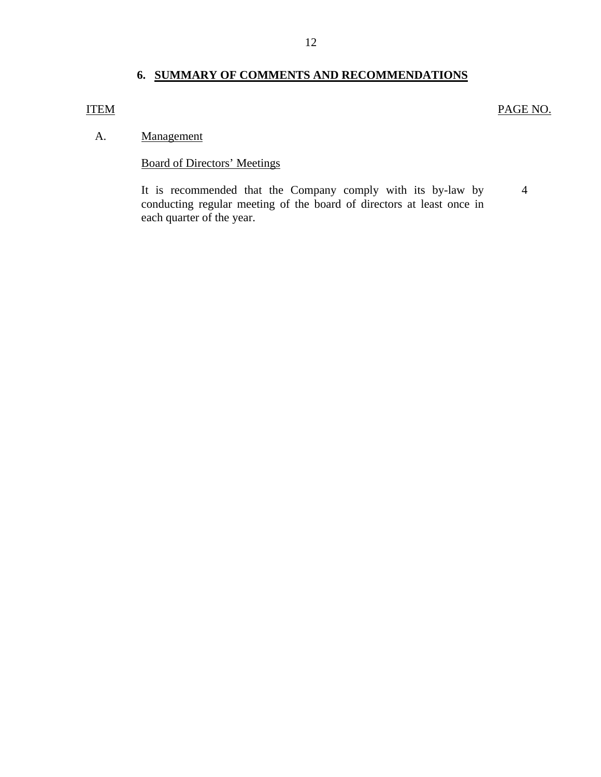## **6. SUMMARY OF COMMENTS AND RECOMMENDATIONS**

## <span id="page-13-0"></span>ITEM PAGE NO.

#### A. Management

## Board of Directors' Meetings

4 It is recommended that the Company comply with its by-law by conducting regular meeting of the board of directors at least once in each quarter of the year.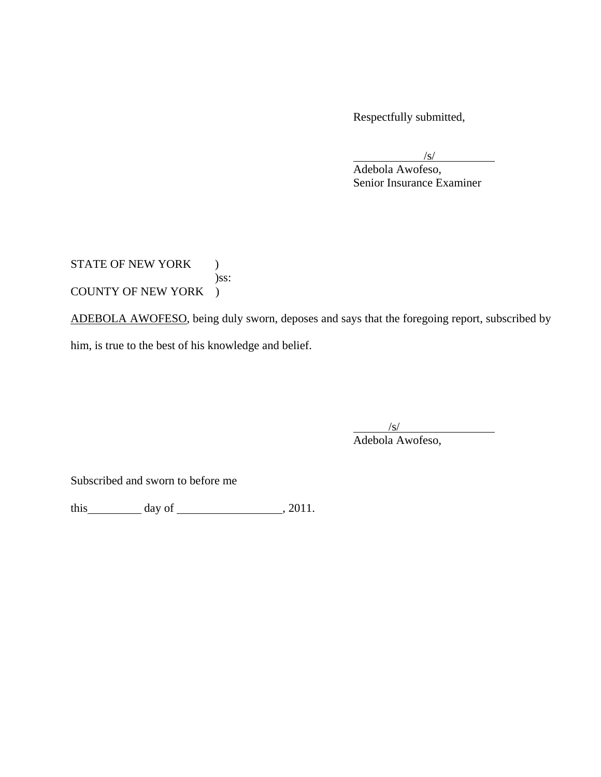Respectfully submitted,

 $\sqrt{s}$ /s/

 Adebola Awofeso, Senior Insurance Examiner

STATE OF NEW YORK ) )ss: COUNTY OF NEW YORK )

ADEBOLA AWOFESO, being duly sworn, deposes and says that the foregoing report, subscribed by

him, is true to the best of his knowledge and belief.

 $\sqrt{s/}$ 

Adebola Awofeso,

Subscribed and sworn to before me

this  $\qquad \qquad \text{day of } \qquad \qquad .2011.$